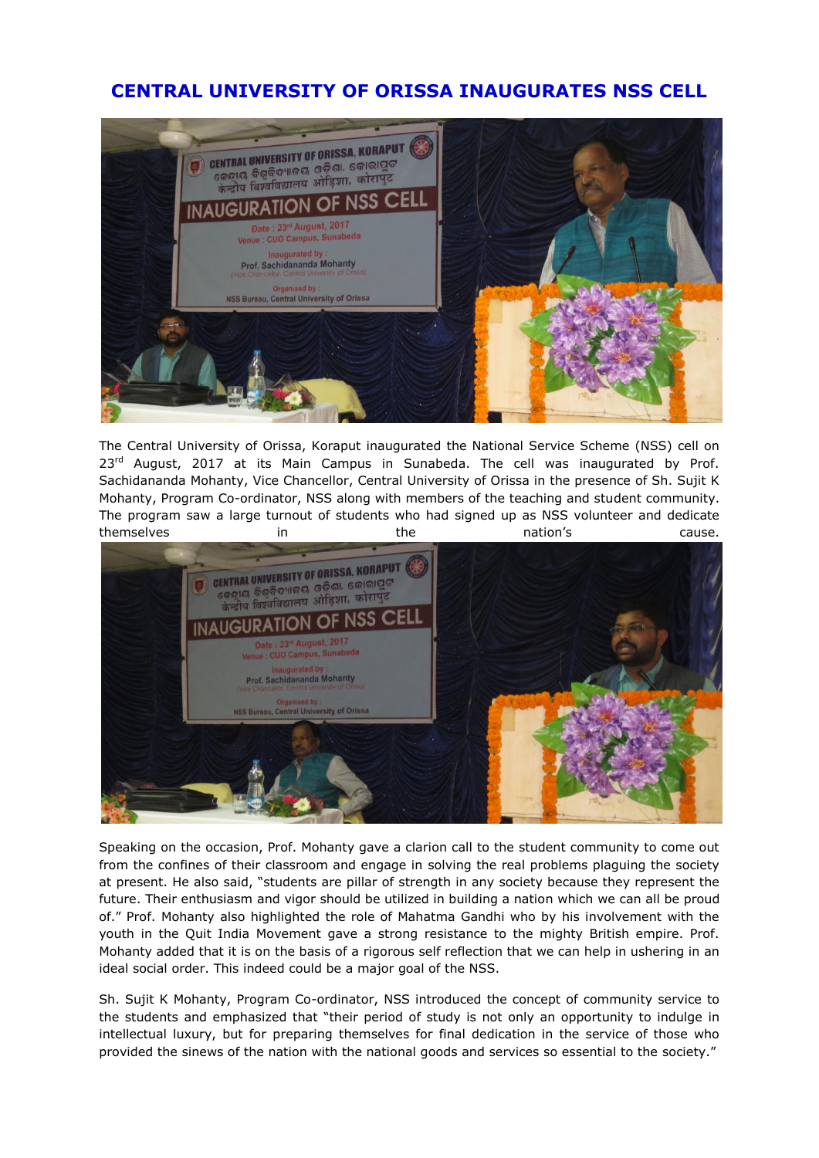## **CENTRAL UNIVERSITY OF ORISSA INAUGURATES NSS CELL**



The Central University of Orissa, Koraput inaugurated the National Service Scheme (NSS) cell on  $23<sup>rd</sup>$  August, 2017 at its Main Campus in Sunabeda. The cell was inaugurated by Prof. Sachidananda Mohanty, Vice Chancellor, Central University of Orissa in the presence of Sh. Sujit K Mohanty, Program Co-ordinator, NSS along with members of the teaching and student community. The program saw a large turnout of students who had signed up as NSS volunteer and dedicate themselves in the the nation's cause.



Speaking on the occasion, Prof. Mohanty gave a clarion call to the student community to come out from the confines of their classroom and engage in solving the real problems plaguing the society at present. He also said, "students are pillar of strength in any society because they represent the future. Their enthusiasm and vigor should be utilized in building a nation which we can all be proud of." Prof. Mohanty also highlighted the role of Mahatma Gandhi who by his involvement with the youth in the Quit India Movement gave a strong resistance to the mighty British empire. Prof. Mohanty added that it is on the basis of a rigorous self reflection that we can help in ushering in an ideal social order. This indeed could be a major goal of the NSS.

Sh. Sujit K Mohanty, Program Co-ordinator, NSS introduced the concept of community service to the students and emphasized that "their period of study is not only an opportunity to indulge in intellectual luxury, but for preparing themselves for final dedication in the service of those who provided the sinews of the nation with the national goods and services so essential to the society."